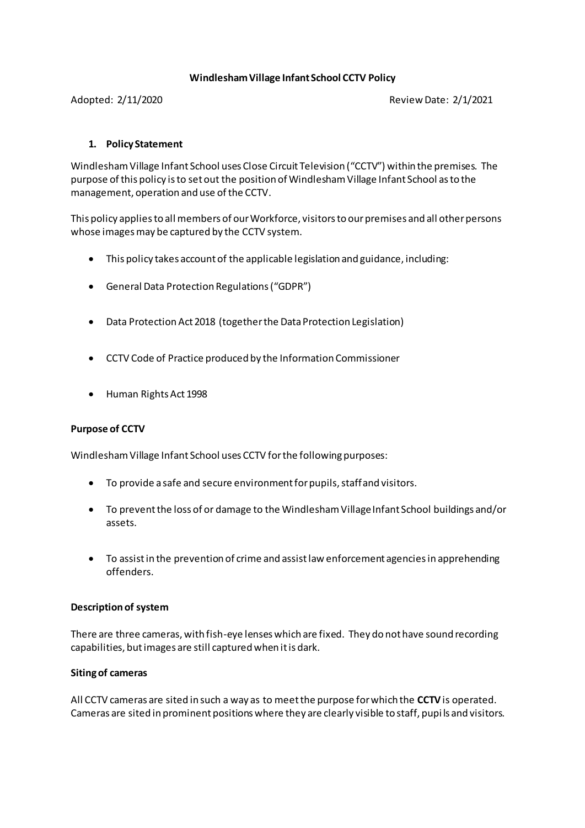## **Windlesham Village Infant School CCTV Policy**

Adopted: 2/11/2020 Review Date: 2/1/2021

# **1. Policy Statement**

Windlesham Village Infant School uses Close Circuit Television ("CCTV") within the premises. The purpose of this policy is to set out the position of Windlesham Village Infant School as to the management, operation and use of the CCTV.

This policy applies to all members of our Workforce, visitors to our premises and all other persons whose images may be captured by the CCTV system.

- This policy takes account of the applicable legislation and guidance, including:
- General Data Protection Regulations ("GDPR")
- Data Protection Act 2018 (together the Data Protection Legislation)
- CCTV Code of Practice produced by the Information Commissioner
- Human Rights Act 1998

# **Purpose of CCTV**

Windlesham Village Infant School uses CCTV for the following purposes:

- To provide a safe and secure environment for pupils, staff and visitors.
- To prevent the loss of or damage to the Windlesham Village Infant School buildings and/or assets.
- To assist in the prevention of crime and assist law enforcement agencies in apprehending offenders.

#### **Description of system**

There are three cameras, with fish-eye lenses which are fixed. They do not have sound recording capabilities, but images are still captured when it is dark.

#### **Siting of cameras**

All CCTV cameras are sited in such a way as to meet the purpose for which the **CCTV**is operated. Cameras are sited in prominent positions where they are clearly visible to staff, pupi ls and visitors.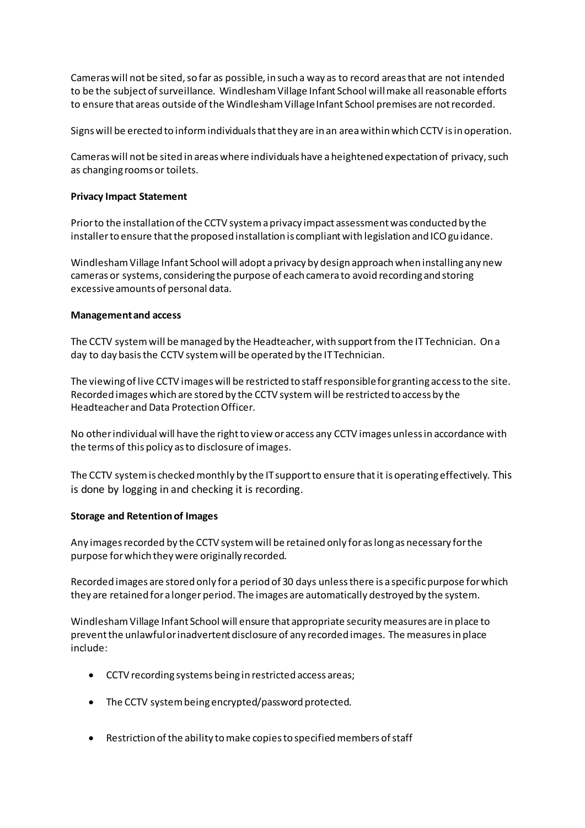Cameras will not be sited, so far as possible, in such a way as to record areas that are not intended to be the subject of surveillance. Windlesham Village Infant School will make all reasonable efforts to ensure that areas outside of the Windlesham Village Infant School premises are not recorded.

Signs will be erected to inform individuals that they are in an area within which CCTV is in operation.

Cameras will not be sited in areas where individuals have a heightened expectation of privacy, such as changing rooms or toilets.

## **Privacy Impact Statement**

Prior to the installation of the CCTV system a privacy impact assessment was conducted by the installer to ensure that the proposed installation is compliant with legislation and ICO guidance.

Windlesham Village Infant School will adopt a privacy by design approach when installing any new cameras or systems, considering the purpose of each camera to avoid recording and storing excessive amounts of personal data.

## **Management and access**

The CCTV system will be managed by the Headteacher, with support from the IT Technician. On a day to day basis the CCTV system will be operated by the IT Technician.

The viewing of live CCTV images will be restricted to staff responsible for granting access to the site. Recorded images which are stored by the CCTV system will be restricted to access by the Headteacher and Data Protection Officer.

No other individual will have the right to view or access any CCTV images unless in accordance with the terms of this policy as to disclosure of images.

The CCTV system is checked monthly by the IT support to ensure that it is operating effectively. This is done by logging in and checking it is recording.

# **Storage and Retention of Images**

Any images recorded by the CCTV system will be retained only for as long as necessary for the purpose for which they were originally recorded.

Recorded images are stored only for a period of 30 days unless there is a specific purpose for which they are retained for a longer period. The images are automatically destroyed by the system.

Windlesham Village Infant School will ensure that appropriate security measures are in place to prevent the unlawful or inadvertent disclosure of any recorded images. The measures in place include:

- CCTV recording systems being in restricted access areas;
- The CCTV system being encrypted/password protected.
- Restriction of the ability to make copies to specified members of staff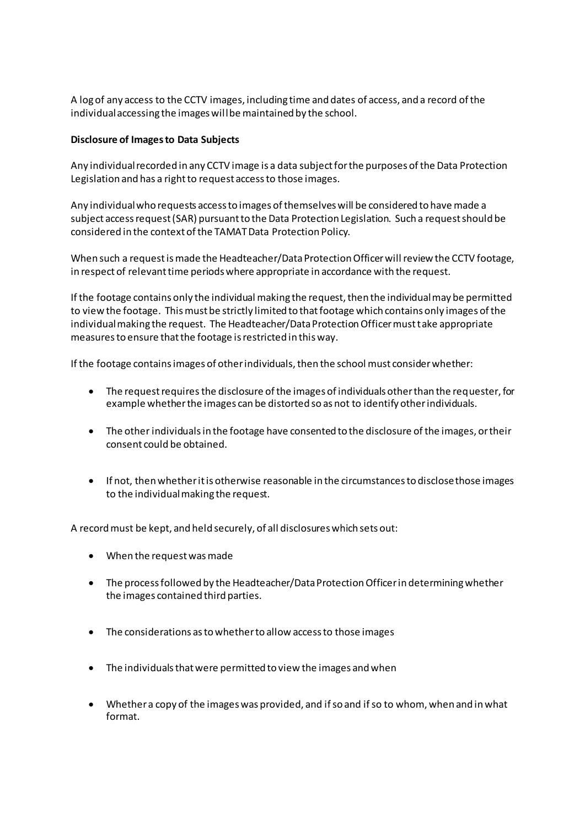A log of any access to the CCTV images, including time and dates of access, and a record of the individual accessing the images will be maintained by the school.

## **Disclosure of Images to Data Subjects**

Any individual recorded in any CCTV image is a data subject for the purposes of the Data Protection Legislation and has a right to request access to those images.

Any individual who requests access to images of themselves will be considered to have made a subject access request (SAR) pursuant to the Data Protection Legislation. Such a request should be considered in the context of the TAMAT Data Protection Policy.

When such a request is made the Headteacher/Data Protection Officer will review the CCTV footage, in respect of relevant time periods where appropriate in accordance with the request.

If the footage contains only the individual making the request, then the individual may be permitted to view the footage. This must be strictly limited to that footage which contains only images of the individual making the request. The Headteacher/Data Protection Officer must take appropriate measures to ensure that the footage is restricted in this way.

If the footage contains images of other individuals, then the school must consider whether:

- The request requires the disclosure of the images of individuals other than the requester, for example whether the images can be distorted so as not to identify other individuals.
- The other individuals in the footage have consented to the disclosure of the images, or their consent could be obtained.
- If not, then whether it is otherwise reasonable in the circumstances to disclose those images to the individual making the request.

A record must be kept, and held securely, of all disclosures which sets out:

- When the request was made
- The process followed by the Headteacher/Data Protection Officer in determining whether the images contained third parties.
- The considerations as to whether to allow access to those images
- The individuals that were permitted to view the images and when
- Whether a copy of the images was provided, and if so and if so to whom, when and in what format.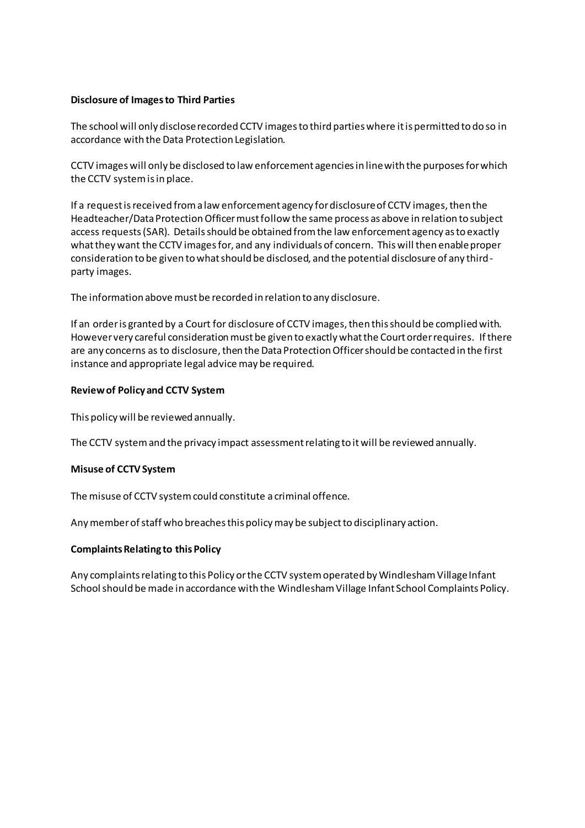## **Disclosure of Images to Third Parties**

The school will only disclose recorded CCTV images to third parties where it is permitted to do so in accordance with the Data Protection Legislation.

CCTV images will only be disclosed to law enforcement agencies in line with the purposes for which the CCTV system is in place.

If a request is received from a law enforcement agency for disclosure of CCTV images, then the Headteacher/Data Protection Officer must follow the same process as above in relation to subject access requests (SAR). Details should be obtained from the law enforcement agency as to exactly what they want the CCTV images for, and any individuals of concern. This will then enable proper consideration to be given to what should be disclosed, and the potential disclosure of any thirdparty images.

The information above must be recorded in relation to any disclosure.

If an order is granted by a Court for disclosure of CCTV images, then this should be complied with. However very careful consideration must be given to exactly what the Court order requires. If there are any concerns as to disclosure, then the Data Protection Officer should be contacted in the first instance and appropriate legal advice may be required.

#### **Review of Policy and CCTV System**

This policy will be reviewed annually.

The CCTV system and the privacy impact assessment relating to it will be reviewed annually.

#### **Misuse of CCTV System**

The misuse of CCTV system could constitute a criminal offence.

Any member of staff who breaches this policy may be subject to disciplinary action.

#### **Complaints Relating to this Policy**

Any complaints relating to this Policy or the CCTV system operated by Windlesham Village Infant School should be made in accordance with the Windlesham Village Infant School Complaints Policy.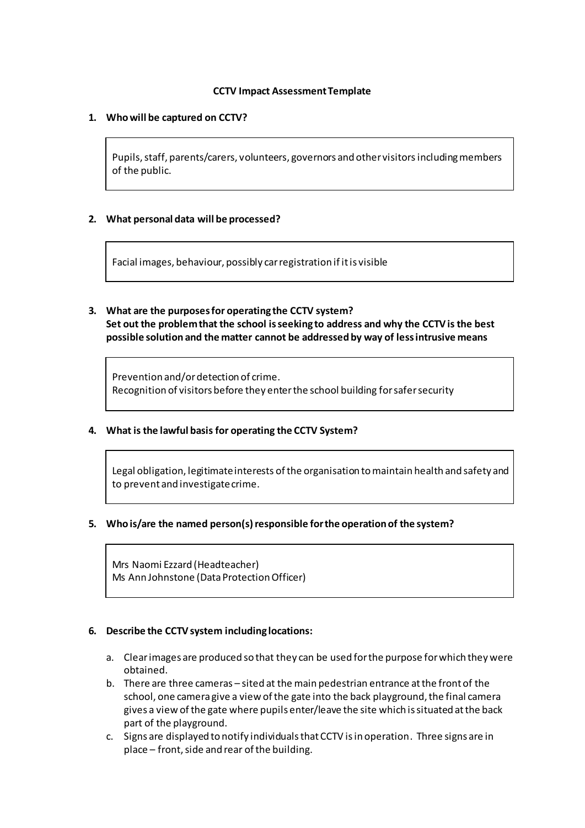## **CCTV Impact Assessment Template**

## **1. Who will be captured on CCTV?**

Pupils, staff, parents/carers, volunteers, governors and other visitorsincluding members of the public.

## **2. What personal data will be processed?**

Facial images, behaviour, possibly car registration if it is visible

**3. What are the purposes for operating the CCTV system? Set out the problem that the school is seeking to address and why the CCTV is the best possible solution and the matter cannot be addressed by way of less intrusive means**

Prevention and/or detection of crime. Recognition of visitors before they enter the school building for safer security

#### **4. What is the lawful basis for operating the CCTV System?**

Legal obligation, legitimate interests of the organisation to maintain health and safety and to prevent and investigate crime.

# **5. Who is/are the named person(s) responsible for the operation of the system?**

Mrs Naomi Ezzard (Headteacher) Ms Ann Johnstone (Data Protection Officer)

#### **6. Describe the CCTV system including locations:**

- a. Clear images are produced so that they can be used for the purpose for which they were obtained.
- b. There are three cameras sited at the main pedestrian entrance at the front of the school, one camera give a view of the gate into the back playground, the final camera gives a view of the gate where pupils enter/leave the site which is situated at the back part of the playground.
- c. Signs are displayed to notify individuals that CCTV is in operation. Three signs are in place – front, side and rear of the building.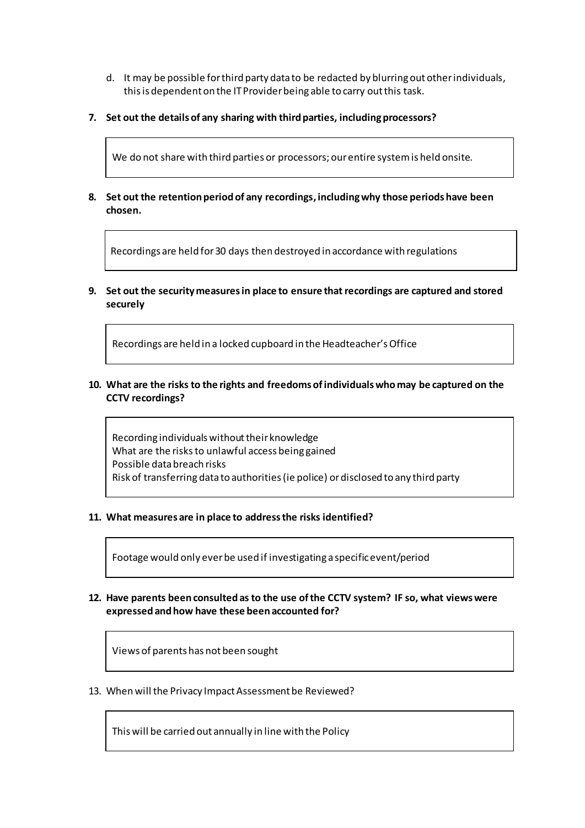- d. It may be possible for third party data to be redacted by blurring out other individuals, this is dependent on the IT Provider being able to carry out this task.
- **7. Set out the details of any sharing with third parties, including processors?**

We do not share with third parties or processors; our entire system is held onsite.

**8. Set out the retention period of any recordings, including why those periods have been chosen.**

Recordings are held for 30 days then destroyed in accordance with regulations

**9. Set out the security measures in place to ensure that recordings are captured and stored securely**

Recordings are held in a locked cupboard in the Headteacher's Office

**10. What are the risks to the rights and freedoms of individuals who may be captured on the CCTV recordings?**

Recording individuals without their knowledge What are the risks to unlawful access being gained Possible data breach risks Risk of transferring data to authorities (ie police) or disclosed to any third party

**11. What measures are in place to address the risks identified?**

Footage would only ever be used if investigating a specific event/period

**12. Have parents been consulted as to the use of the CCTV system? IF so, what views were expressed and how have these been accounted for?**

Views of parents has not been sought

13. When will the Privacy Impact Assessment be Reviewed?

This will be carried out annually in line with the Policy